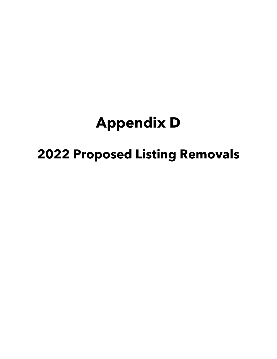## **Appendix D**

## **2022 Proposed Listing Removals**